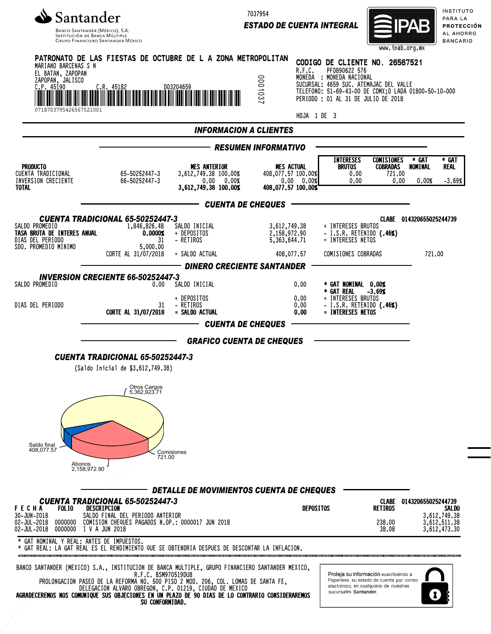

7037954

*ESTADO DE CUENTA INTEGRAL*



INSTITUTO PARA LA **PROTECCIÓN** AL AHORRO **BANCARIO** 

| MARIANO BARCENAS S N<br>EL BATAN, ZAPOPAN                                    | PATRONATO DE LAS FIESTAS DE OCTUBRE DE L A ZONA METROPOLITAN                                                                                                                                                                                                                                                                                                                                   |                                                                                      | R.F.C.                                                                      | CODIGO DE CLIENTE NO. 26567521<br>PF0890622 576                                                                                                                    | www.ipdd.org.mx                                                                                                              |                           |                                              |
|------------------------------------------------------------------------------|------------------------------------------------------------------------------------------------------------------------------------------------------------------------------------------------------------------------------------------------------------------------------------------------------------------------------------------------------------------------------------------------|--------------------------------------------------------------------------------------|-----------------------------------------------------------------------------|--------------------------------------------------------------------------------------------------------------------------------------------------------------------|------------------------------------------------------------------------------------------------------------------------------|---------------------------|----------------------------------------------|
| ZAPOPAN, JALISCO<br>$C.P.$ 45190                                             | C.R. 45182                                                                                                                                                                                                                                                                                                                                                                                     | D03204659                                                                            | 000103                                                                      | MONEDA : MONEDA NACIONAL<br>SUCURSAL: 4659 SUC. ATEMAJAC DEL VALLE<br>TELEFONO: 51-69-43-00 DE CDMX; 0 LADA 01800-50-10-000<br>PERIODO : 01 AL 31 DE JULIO DE 2018 |                                                                                                                              |                           |                                              |
| 0718703795426567521001                                                       |                                                                                                                                                                                                                                                                                                                                                                                                |                                                                                      | HOJA 1 DE 3                                                                 |                                                                                                                                                                    |                                                                                                                              |                           |                                              |
|                                                                              |                                                                                                                                                                                                                                                                                                                                                                                                | <b>INFORMACION A CLIENTES</b>                                                        |                                                                             |                                                                                                                                                                    |                                                                                                                              |                           |                                              |
|                                                                              |                                                                                                                                                                                                                                                                                                                                                                                                |                                                                                      | <b>RESUMEN INFORMATIVO</b>                                                  |                                                                                                                                                                    |                                                                                                                              |                           |                                              |
| <b>PRODUCTO</b><br>CUENTA TRADICIONAL<br>INVERSION CRECIENTE<br><b>TOTAL</b> | 65-50252447-3<br>66-50252447-3                                                                                                                                                                                                                                                                                                                                                                 | <b>MES ANTERIOR</b><br>3,612,749.38 100.00%<br>0.00%<br>0.00<br>3,612,749.38 100.00% | <b>MES ACTUAL</b><br>408,077.57 100,00%<br>0.00 0.00%<br>408,077.57 100.00% | <b>INTERESES</b><br><b>BRUTOS</b><br>0.00<br>0.00                                                                                                                  | <b>COMISIONES</b><br><b>COBRADAS</b><br>721.00<br>0.00                                                                       | * GAT<br>NOMINAL<br>0.00% | * GAT<br>real<br>$-3.69%$                    |
|                                                                              |                                                                                                                                                                                                                                                                                                                                                                                                | —— CUENTA DE CHEQUES                                                                 |                                                                             |                                                                                                                                                                    |                                                                                                                              |                           |                                              |
| SALDO PROMEDIO<br>TASA BRUTA DE INTERES ANUAL<br>DIAS DEL PERIODO            | <b>CUENTA TRADICIONAL 65-50252447-3</b><br>1,846,826,48<br>0.0000%<br>31                                                                                                                                                                                                                                                                                                                       | SALDO INICIAL<br>+ DEPOSITOS<br>- RETIROS                                            | 3,612,749.38<br>2,158,972.90<br>5,363,644,71                                | + INTERESES BRUTOS<br>- I.S.R. RETENIDO $(.46%)$<br>= INTERESES NETOS                                                                                              |                                                                                                                              | CLABE 014320655025244739  |                                              |
| SDO. PROMEDIO MINIMO                                                         | 5,000.00<br>CORTE AL 31/07/2018                                                                                                                                                                                                                                                                                                                                                                | = SALDO ACTUAL                                                                       | 408,077.57                                                                  | COMISIONES COBRADAS                                                                                                                                                |                                                                                                                              | 721.00                    |                                              |
|                                                                              |                                                                                                                                                                                                                                                                                                                                                                                                | <b>DINERO CRECIENTE SANTANDER</b>                                                    |                                                                             |                                                                                                                                                                    |                                                                                                                              |                           |                                              |
| SALDO PROMEDIO                                                               | <b>INVERSION CRECIENTE 66-50252447-3</b><br>0.00                                                                                                                                                                                                                                                                                                                                               | SALDO INICIAL                                                                        | 0.00                                                                        | * GAT NOMINAL 0.00%                                                                                                                                                |                                                                                                                              |                           |                                              |
| DIAS DEL PERIODO                                                             | 31<br>CORTE AL 31/07/2018                                                                                                                                                                                                                                                                                                                                                                      | + DEPOSITOS<br>- RETIROS<br>= SALDO ACTUAL                                           | 0.00<br>0.00<br>0.00                                                        | * GAT REAL<br>+ INTERESES BRUTOS<br>- I.S.R. RETENIDO (.46%)<br>= INTERESES NETOS                                                                                  | $-3.69%$                                                                                                                     |                           |                                              |
|                                                                              |                                                                                                                                                                                                                                                                                                                                                                                                | <b>CUENTA DE CHEQUES</b>                                                             |                                                                             |                                                                                                                                                                    |                                                                                                                              |                           |                                              |
|                                                                              |                                                                                                                                                                                                                                                                                                                                                                                                | <b>GRAFICO CUENTA DE CHEQUES</b>                                                     |                                                                             |                                                                                                                                                                    |                                                                                                                              |                           |                                              |
|                                                                              | <b>CUENTA TRADICIONAL 65-50252447-3</b><br>(Saldo Inicial de \$3,612,749.38)                                                                                                                                                                                                                                                                                                                   |                                                                                      |                                                                             |                                                                                                                                                                    |                                                                                                                              |                           |                                              |
|                                                                              | Otros Cargos<br>5,362,923.71                                                                                                                                                                                                                                                                                                                                                                   |                                                                                      |                                                                             |                                                                                                                                                                    |                                                                                                                              |                           |                                              |
| Saldo final<br>408,077.57<br>Abonos                                          | 721.00<br>2,158,972.90                                                                                                                                                                                                                                                                                                                                                                         | Comisiones                                                                           |                                                                             |                                                                                                                                                                    |                                                                                                                              |                           |                                              |
|                                                                              |                                                                                                                                                                                                                                                                                                                                                                                                | DETALLE DE MOVIMIENTOS CUENTA DE CHEQUES                                             |                                                                             |                                                                                                                                                                    |                                                                                                                              |                           |                                              |
| <b>FECHA</b><br><b>FOLIO</b><br>30-JUN-2018<br>02-JUL-2018<br>0000000        | <b>CUENTA TRADICIONAL 65-50252447-3</b><br>DESCRIPCION<br>SALDO FINAL DEL PERIODO ANTERIOR<br>COMISION CHEQUES PAGADOS N.OP.: 0000017 JUN 2018                                                                                                                                                                                                                                                 |                                                                                      | DEPOSITOS                                                                   |                                                                                                                                                                    | <b>CLABE</b><br><b>RETIROS</b><br>238,00                                                                                     | 014320655025244739        | <b>SALDO</b><br>3,612,749.38<br>3,612,511.38 |
| 02-JUL-2018<br>* GAT NOMINAL Y REAL: ANTES DE IMPUESTOS.                     | 0000000 $/$ I V A JUN 2018                                                                                                                                                                                                                                                                                                                                                                     |                                                                                      |                                                                             |                                                                                                                                                                    | 38.08                                                                                                                        |                           | 3,612,473.30                                 |
|                                                                              | * GAT REAL: LA GAT REAL ES EL RENDIMIENTO QUE SE OBTENDRIA DESPUES DE DESCONTAR LA INFLACION.                                                                                                                                                                                                                                                                                                  |                                                                                      |                                                                             |                                                                                                                                                                    |                                                                                                                              |                           |                                              |
|                                                                              | BANCO SANTANDER (MEXICO) S.A., INSTITUCION DE BANCA MULTIPLE, GRUPO FINANCIERO SANTANDER MEXICO,<br>R.F.C. BSM970519DU8<br>PROLONGACION PASEO DE LA REFORMA NO. 500 PISO 2 MOD. 206, COL. LOMAS DE SANTA FE,<br>DELEGACION ALVARO OBREGON, C.P. 01219, CIUDÁD DE MEXICO<br>AGRADECEREMOS NOS COMUNIQUE SUS OBJECIONES EN UN PLAZO DE 90 DIAS DE LO CONTRARIO CONSIDERAREMOS<br>SU CONFORMIDAD. |                                                                                      |                                                                             | sucursales Santander.                                                                                                                                              | Proteja su información suscribiendo a<br>Paperless, su estado de cuenta por correo<br>electrónico, en cualquiera de nuestras |                           |                                              |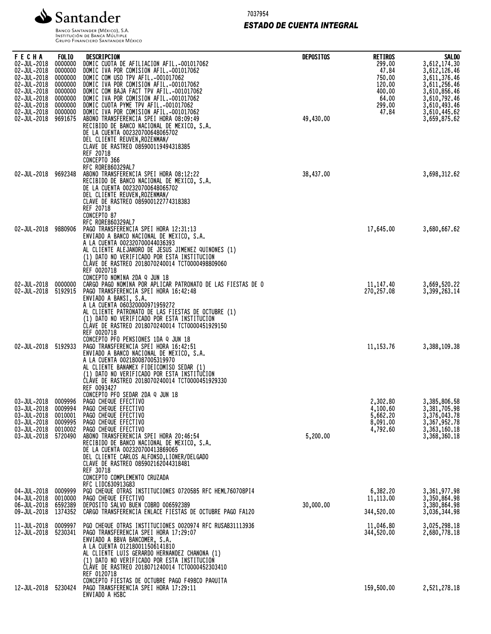

7037954

# *ESTADO DE CUENTA INTEGRAL*

| FECHA<br>02-JUL-2018<br>02-JUL-2018<br>02-JUL-2018<br>02-JUL-2018<br>02-JUL-2018<br>02-JUL-2018<br>02-JUL-2018 | <b>FOLIO</b><br>0000000<br>0000000<br>0000000<br>0000000<br>0000000<br>0000000<br>0000000 | DESCRIPCION<br>DOMIC CUOTA DE AFILIACION AFIL.-001017062<br>DOMIC IVA POR COMISION AFIL.-001017062<br>DOMIC COM USO TPV AFIL.-001017062<br>DOMIC IVA POR COMISION AFIL.-001017062<br>DOMIC COM BAJA FACT TPV AFIL.-001017062<br>DOMIC IVA POR COMISION AFIL.-001017062<br>DOMIC CUOTA PYME TPV AFIL.-001017062                         | <b>DEPOSITOS</b> | <b>RETIROS</b><br>299.00<br>47.84<br>750,00<br>120,00<br>400.00<br>64.00<br>299,00 | <b>SALDO</b><br>3,612,174.30<br>3,612,126.46<br>3,611,376.46<br>3,611,256.46<br>3,610,856.46<br>3,610,792.46<br>3,610,493.46 |
|----------------------------------------------------------------------------------------------------------------|-------------------------------------------------------------------------------------------|----------------------------------------------------------------------------------------------------------------------------------------------------------------------------------------------------------------------------------------------------------------------------------------------------------------------------------------|------------------|------------------------------------------------------------------------------------|------------------------------------------------------------------------------------------------------------------------------|
| 02-JUL-2018<br>02-JUL-2018                                                                                     | 0000000<br>9691675                                                                        | DOMIC IVA POR COMISION AFIL.-001017062<br>ABONO TRANSFERENCIA SPEI HORA 08:09:49<br>RECIBIDO DE BANCO NACIONAL DE MEXICO, S.A.<br>DE LA CUENTA 002320700648065702<br>DEL CLIENTE REUVEN, ROZENMAN/<br>CLAVE DE RASTREO 085900119494318385<br>REF 20718<br>CONCEPTO 366                                                                 | 49,430.00        | 47.84                                                                              | 3,610,445.62<br>3,659,875.62                                                                                                 |
| 02-JUL-2018 9692348                                                                                            |                                                                                           | RFC RORE860329AL7<br>ABONO TRANSFERENCIA SPEI HORA 08:12:22<br>RECIBIDO DE BANCO NACIONAL DE MEXICO, S.A.<br>DE LA CUENTA 002320700648065702<br>DEL CLIENTE REUVEN, ROZENMAN/<br>CLAVE DE RASTREO 085900122774318383<br>REF 20718<br>CONCEPTO 87<br><b>RFC RORE860329AL7</b>                                                           | 38,437.00        |                                                                                    | 3,698,312.62                                                                                                                 |
| 02-JUL-2018                                                                                                    | 9880906                                                                                   | PAGO TRANSFERENCIA SPEI HORA 12:31:13<br>ENVIADO A BANCO NACIONAL DE MEXICO, S.A.<br>A LA CUENTA 002320700044036393<br>AL CLIENTE ALEJANDRO DE JESUS JIMENEZ QUINONES (1)<br>(1) DATO NO VERIFICADO POR ESTA INSTITUCION<br>CLAVE DE RASTREO 2018070240014 TCT0000498809060<br>REF 0020718<br>CONCEPTO NOMINA 2DA Q JUN 18             |                  | 17,645.00                                                                          | 3,680,667.62                                                                                                                 |
| 02-JUL-2018<br>02-JUL-2018                                                                                     | 0000000<br>5192915                                                                        | CARGO PAGO NOMINA POR APLICAR PATRONATO DE LAS FIESTAS DE O<br>PAGO TRANSFERENCIA SPEI HORA 16:42:48<br>ENVIADO A BANSI, S.A.<br>A LA CUENTA 060320000971959272<br>AL CLIENTE PATRONATO DE LAS FIESTAS DE OCTUBRE (1)<br>(1) DATO NO VERIFICADO POR ESTA INSTITUCION<br>CLAVE DE RASTREO 2018070240014 TCT0000451929150<br>REF 0020718 |                  | 11, 147.40<br>270,257.08                                                           | 3,669,520.22<br>3,399,263.14                                                                                                 |
| 02-JUL-2018 5192933                                                                                            |                                                                                           | CONCEPTO PFO PENSIONES 1DA Q JUN 18<br>PAGO TRANSFERENCIA SPEI HORA 16:42:51<br>ENVIADO A BANCO NACIONAL DE MEXICO, S.A.<br>A LA CUENTA 002180087005319970<br>AL CLIENTE BANAMEX FIDEICOMISO SEDAR (1)<br>(1) DATO NO VERIFICADO POR ESTA INSTITUCION<br>CLAVE DE RASTREO 2018070240014 TCT0000451929330<br>REF 0093427                |                  | 11, 153.76                                                                         | 3,388,109.38                                                                                                                 |
| 03-JUL-2018 0009996<br>03-JUL-2018<br>03-JUL-2018<br>03-JUL-2018<br>03-JUL-2018 0010002                        | 0009994<br>0010001<br>0009995                                                             | CONCEPTO PFO SEDAR 2DA Q JUN 18<br>PAGO CHEQUE EFECTIVO<br>PAGO CHEQUE EFECTIVO<br>PAGO CHEQUE EFECTIVO<br>PAGO CHEQUE EFECTIVO<br>PAGO CHEQUE EFECTIVO                                                                                                                                                                                |                  | 2,302,80<br>4,100.60<br>5,662.20<br>8,091.00<br>4,792.60                           | 3,385,806.58<br>3,381,705.98<br>3,376,043.78<br>3,367,952.78<br>3,363,160.18                                                 |
| 03-JUL-2018                                                                                                    | 5720490                                                                                   | ABONO TRANSFERENCIA SPEI HORA 20:46:54<br>RECIBIDO DE BANCO NACIONAL DE MEXICO, S.A.<br>DE LA CUENTA 002320700413869065<br>DEL CLIENTE CARLOS ALFONSO, LIONER/DELGADO<br>CLAVE DE RASTREO 085902162044318481<br>REF 30718<br>CONCEPTO COMPLEMENTO CRUZADA<br>RFC LIDC630913G83                                                         | 5,200.00         |                                                                                    | 3,368,360.18                                                                                                                 |
| 04-JUL-2018<br>04-JUL-2018<br>06-JUL-2018                                                                      | 0009999<br>0010000<br>6592389                                                             | PGO CHEQUE OTRAS INSTITUCIONES 0720585 RFC HEML760708PI4<br>PAGO CHEQUE EFECTIVO<br>DEPOSITO SALVO BUEN COBRO 006592389                                                                                                                                                                                                                | 30,000.00        | 6,382.20<br>11,113.00                                                              | 3,361,977.98<br>3,350,864.98<br>3,380,864.98                                                                                 |
| 09-JUL-2018                                                                                                    | 1374352                                                                                   | CARGO TRANSFERENCIA ENLACE FIESTAS DE OCTUBRE PAGO FA120                                                                                                                                                                                                                                                                               |                  | 344,520.00                                                                         | 3,036,344.98                                                                                                                 |
| 11-JUL-2018<br>12-JUL-2018                                                                                     | 0009997<br>5230341                                                                        | PGO CHEQUE OTRAS INSTITUCIONES 0020974 RFC RUSA831113936<br>PAGO TRANSFERENCIA SPEI HORA 17:29:07<br>ENVIADO A BBVA BANCOMER, S.A.<br>A LA CUENTA 012180011506141810<br>AL CLIENTE LUIS GERARDO HERNANDEZ CHANONA (1)<br>(1) DATO NO VERIFICADO POR ESTA INSTITUCION<br>CLAVE DE RASTREO 2018071240014 TCT0000452303410<br>REF 0120718 |                  | 11,046.80<br>344,520.00                                                            | 3,025,298.18<br>2,680,778.18                                                                                                 |
| 12-JUL-2018                                                                                                    | 5230424                                                                                   | CONCEPTO FIESTAS DE OCTUBRE PAGO F498CO PAQUITA<br>PAGO TRANSFERENCIA SPEI HORA 17:29:11<br>ENVIADO A HSBC                                                                                                                                                                                                                             |                  | 159,500.00                                                                         | 2,521,278.18                                                                                                                 |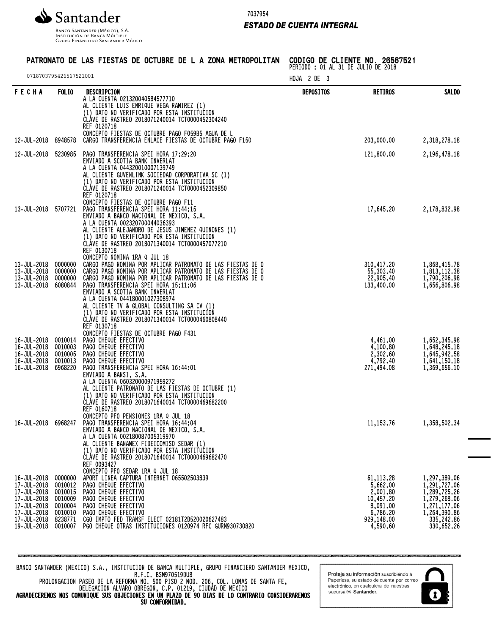

Banco Santander (México), S.A.<br>Institución de Banca Múltiple<br>Grupo Financiero Santander México

7037954

# *ESTADO DE CUENTA INTEGRAL*

# PATRONATO DE LAS FIESTAS DE OCTUBRE DE L A ZONA METROPOLITAN

CODIGO DE CLIENTE NO. 26567521 PERIODO : 01 AL 31 DE JULIO DE 2018

| 0718703795426567521001                                                                                               |                                                                                      |                                                                                                                                                                                                                                                                                                                                                                                                                                                                        | HOJA 2 DE 3 |                                                                                                   |                                                                                                                          |
|----------------------------------------------------------------------------------------------------------------------|--------------------------------------------------------------------------------------|------------------------------------------------------------------------------------------------------------------------------------------------------------------------------------------------------------------------------------------------------------------------------------------------------------------------------------------------------------------------------------------------------------------------------------------------------------------------|-------------|---------------------------------------------------------------------------------------------------|--------------------------------------------------------------------------------------------------------------------------|
| <b>FECHA</b>                                                                                                         | <b>FOLIO</b>                                                                         | DESCRIPCION<br>A LA CUENTA 021320040584577710<br>AL CLIENTE LUIS ENRIQUE VEGA RAMIREZ (1)<br>(1) DATO NO VERIFICADO POR ESTA INSTITUCION<br>CLAVE DE RASTREO 2018071240014 TCT0000452304240<br>REF 0120718<br>CONCEPTO FIESTAS DE OCTUBRE PAGO FO59B5 AGUA DE L                                                                                                                                                                                                        | DEPOSITOS   | <b>RETIROS</b>                                                                                    | <b>SALDO</b>                                                                                                             |
| 12-JUL-2018                                                                                                          | 8948578                                                                              | CARGO TRANSFERENCIA ENLACE FIESTAS DE OCTUBRE PAGO F150                                                                                                                                                                                                                                                                                                                                                                                                                |             | 203,000.00                                                                                        | 2,318,278.18                                                                                                             |
| 12-JUL-2018                                                                                                          | 5230985                                                                              | PAGO TRANSFERENCIA SPEI HORA 17:29:20<br>ENVIADO A SCOTIA BANK INVERLAT<br>A LA CUENTA 044320010007139749<br>AL CLIENTE GUVENLINK SOCIEDAD CORPORATIVA SC (1)<br>(1) DATO NO VERIFICADO POR ESTA INSTITUCION<br>CLÁVE DE RASTREO 2018071240014 TCT0000452309850<br>REF 0120718                                                                                                                                                                                         |             | 121,800.00                                                                                        | 2, 196, 478. 18                                                                                                          |
| 13-JUL-2018                                                                                                          | 5707721                                                                              | CONCEPTO FIESTAS DE OCTUBRE PAGO F11<br>PAGO TRANSFERENCIA SPEI HORA 11:44:15<br>ENVIADO A BANCO NACIONAL DE MEXICO, S.A.<br>A LA CUENTA 002320700044036393<br>AL CLIENTE ALEJANDRO DE JESUS JIMENEZ QUINONES (1)<br>(1) DATO NO VERIFICADO POR ESTA INSTITUCION<br>CLAVE DE RASTREO 2018071340014 TCT0000457077210<br>REF 0130718<br>CONCEPTO NOMINA 1RA Q JUL 18                                                                                                     |             | 17,645.20                                                                                         | 2,178,832.98                                                                                                             |
| 13-JUL-2018<br>13-JUL-2018<br>13-JUL-2018<br>13-JUL-2018                                                             | 0000000<br>0000000<br>0000000<br>6080844                                             | CARGO PAGO NOMINA POR APLICAR PATRONATO DE LAS FIESTAS DE O<br>CARGO PAGO NOMINA POR APLICAR PATRONATO DE LAS FIESTAS DE O<br>CARGO PAGO NOMINA POR APLICAR PATRONATO DE LAS FIESTAS DE O<br>PAGO TRANSFERENCIA SPEI HORA 15:11:06<br>ENVIADO A SCOTIA BANK INVERLAT<br>A LA CUENTA 044180001027308974<br>AL CLIENTE TV & GLOBAL CONSULTING SA CV (1)<br>(1) DATO NO VERIFICADO POR ESTA INSTITUCION<br>CLAVE DE RASTREO 2018071340014 TCT0000460808440<br>REF 0130718 |             | 310,417,20<br>55,303.40<br>22,905.40<br>133,400.00                                                | 1,868,415.78<br>1,813,112.38<br>1,790,206.98<br>1,656,806.98                                                             |
| 16-JUL-2018<br>16-JUL-2018<br>16-JUL-2018<br>16-JUL-2018<br>16-JUL-2018                                              | 0010014<br>0010003<br>0010005<br>0010013<br>6968220                                  | CONCEPTO FIESTAS DE OCTUBRE PAGO F431<br>PAGO CHEQUE EFECTIVO<br>PAGO CHEQUE EFECTIVO<br>PAGO CHEQUE EFECTIVO<br>PAGO CHEQUE EFECTIVO<br>PAGO TRANSFERENCIA SPEI HORA 16:44:01<br>ENVIADO A BANSI, S.A.<br>A LA CUENTA 060320000971959272<br>AL CLIENTE PATRONATO DE LAS FIESTAS DE OCTUBRE (1)<br>(1) DATO NO VERIFICADO POR ESTA INSTITUCION<br>CLAVE DE RASTREO 2018071640014 TCT0000469682200<br>REF 0160718                                                       |             | 4,461.00<br>4,100.80<br>2,302.60<br>4,792.40<br>271,494.08                                        | 1,652,345.98<br>1,648,245.18<br>1,645,942.58<br>1,641,150.18<br>1,369,656.10                                             |
| 16-JUL-2018                                                                                                          | 6968247                                                                              | CONCEPTO PFO PENSIONES 1RA Q JUL 18<br>PAGO TRANSFERENCIA SPEI HORA 16:44:04<br>ENVIADO A BANCO NACIONAL DE MEXICO, S.A.<br>A LA CUENTA 002180087005319970<br>AL CLIENTE BANAMEX FIDEICOMISO SEDAR (1)<br>(1) DATO NO VERIFICADO POR ESTA INSTITUCION<br>CLÁVE DE RASTREO 2018071640014 TCT0000469682470<br>REF 0093427<br>CONCEPTO PFO SEDAR 1RA Q JUL 18                                                                                                             |             | 11, 153. 76                                                                                       | 1,358,502.34                                                                                                             |
| 16-JUL-2018<br>17-JUL-2018<br>17-JUL-2018<br>17-JUL-2018<br>17-JUL-2018<br>17-JUL-2018<br>17-JUL-2018<br>19-JUL-2018 | 0000000<br>0010012<br>0010015<br>0010009<br>0010004<br>0010010<br>8238771<br>0010007 | APORT LINEA CAPTURA INTERNET 065502503839<br>PAGO CHEQUE EFECTIVO<br>PAGO CHEQUE EFECTIVO<br>PAGO CHEQUE EFECTIVO<br>PAGO CHEQUE EFECTIVO<br>PAGO CHEQUE EFECTIVO<br>CGO IMPTO FED TRANSF ELECT 02181T2D520020627483<br>PGO CHEQUE OTRAS INSTITUCIONES 0120974 RFC GURM930730820                                                                                                                                                                                       |             | 61, 113.28<br>5,662.00<br>2,001.80<br>10,457.20<br>8,091.00<br>6,786.20<br>929,148.00<br>4,590.60 | 1,297,389.06<br>1,291,727.06<br>1,289,725.26<br>1,279,268.06<br>1,271,177.06<br>1,264,390.86<br>335,242.86<br>330,652.26 |

BANCO SANTANDER (MEXICO) S.A., INSTITUCION DE BANCA MULTIPLE, GRUPO FINANCIERO SANTANDER MEXICO, R.F.C. BSM970519DU8

PROLONGACION PASEO DE LA REFORMA NO. 500 PISO 2 MOD. 206, COL. LOMAS DE SANTA FE, DELEGACION ALVARO OBREGON, C.P. 01219, CIUDAD DE MEXICO AGRADECEREMOS NOS COMUNIQUE SUS OBJECIONES EN UN PLAZO DE 90 DIAS DE LO CONTRARIO CONSIDERAREMOS

SU CONFORMIDAD.

Proteja su información suscribiendo a Paperless, su estado de cuenta por correo<br>electrónico, en cualquiera de nuestras sucursales Santander.

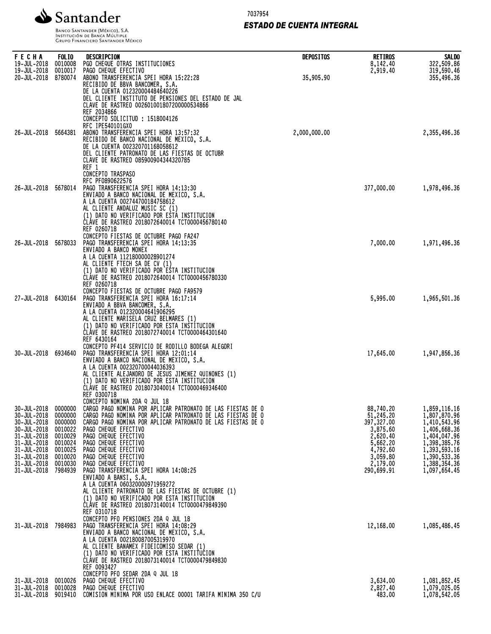

7037954

# *ESTADO DE CUENTA INTEGRAL*

Banco Santander (México), S.A.<br>Institución de Banca Múltiple<br>Grupo Financiero Santander México

| <b>FECHA</b>               | <b>FOLIO</b>       | DESCRIPCION                                                                                                                        | <b>DEPOSITOS</b> | <b>RETIROS</b>         | <b>SALDO</b>                 |
|----------------------------|--------------------|------------------------------------------------------------------------------------------------------------------------------------|------------------|------------------------|------------------------------|
| 19-JUL-2018<br>19-JUL-2018 | 0010008<br>0010017 | PGO CHEQUE OTRAS INSTITUCIONES<br>PAGO CHEQUE EFECTIVO                                                                             |                  | 8,142.40<br>2,919.40   | 322,509.86<br>319,590.46     |
| 20-JUL-2018                | 8780074            | ABONO TRANSFERENCIA SPEI HORA 15:22:28<br>RECIBIDO DE BBVA BANCOMER, S.A.                                                          | 35,905.90        |                        | 355,496.36                   |
|                            |                    | DE LA CUENTA 012320004484640226<br>DEL CLIENTE INSTITUTO DE PENSIONES DEL ESTADO DE JAL                                            |                  |                        |                              |
|                            |                    | CLAVE DE RASTREO 002601001807200000534866<br>REF 2034866                                                                           |                  |                        |                              |
|                            |                    | CONCEPTO SOLICITUD : 1518004126<br>RFC IPE540101GX0                                                                                |                  |                        |                              |
| 26-JUL-2018                | 5664381            | ABONO TRANSFERENCIA SPEI HORA 13:57:32                                                                                             | 2,000,000.00     |                        | 2,355,496,36                 |
|                            |                    | RECIBIDO DE BANCO NACIONAL DE MEXICO, S.A.<br>DE LA CUENTA 002320701168058612                                                      |                  |                        |                              |
|                            |                    | DEL CLIENTE PATRONATO DE LAS FIESTAS DE OCTUBR<br>CLAVE DE RASTREO 085900904344320785                                              |                  |                        |                              |
|                            |                    | REF 1<br>CONCEPTO TRASPASO                                                                                                         |                  |                        |                              |
| 26-JUL-2018                | 5678014            | RFC PF0890622576<br>PAGO TRANSFERENCIA SPEI HORA 14:13:30                                                                          |                  | 377,000.00             | 1,978,496.36                 |
|                            |                    | ENVIADO A BANCO NACIONAL DE MEXICO, S.A.<br>A LA CUENTA 002744700184758612                                                         |                  |                        |                              |
|                            |                    | AL CLIENTE ANDALUZ MUSIC SC (1)<br>(1) DATO NO VERIFICADO POR ESTA INSTITUCION                                                     |                  |                        |                              |
|                            |                    | CLAVE DE RASTREO 2018072640014 TCT0000456780140<br>REF 0260718                                                                     |                  |                        |                              |
| 26-JUL-2018                | 5678033            | CONCEPTO FIESTAS DE OCTUBRE PAGO FA247<br>PAGO TRANSFERENCIA SPEI HORA 14:13:35                                                    |                  | 7,000.00               | 1,971,496.36                 |
|                            |                    | ENVIADO A BANCO MONEX<br>A LA CUENTA 112180000028901274                                                                            |                  |                        |                              |
|                            |                    | AL CLIENTE FTECH SA DE CV (1)<br>(1) DATO NO VERIFICADO POR ESTA INSTITUCION                                                       |                  |                        |                              |
|                            |                    | ČLÁVE DE RASTREO 2018072640014 TCT0000456780330<br>REF 0260718                                                                     |                  |                        |                              |
| 27-JUL-2018                | 6430164            | CONCEPTO FIESTAS DE OCTUBRE PAGO FA9579<br>PAGO TRANSFERENCIA SPEI HORA 16:17:14                                                   |                  | 5,995.00               | 1,965,501.36                 |
|                            |                    | ENVIADO A BBVA BANCOMER, S.A.                                                                                                      |                  |                        |                              |
|                            |                    | A LA CUENTA 012320004641906295<br>AL CLIENTE MARISELA CRUZ BELMARES (1)                                                            |                  |                        |                              |
|                            |                    | (1) DATO NO VERIFICADO POR ESTA INSTITUCION<br>CLAVE DE RASTREO 2018072740014 TCT0000464301640                                     |                  |                        |                              |
|                            |                    | REF 6430164<br>CONCEPTO PF414 SERVICIO DE RODILLO BODEGA ALEGORI                                                                   |                  |                        |                              |
| 30-JUL-2018                | 6934640            | PAGO TRANSFERENCIA SPEI HORA 12:01:14<br>ENVIADO A BANCO NACIONAL DE MEXICO, S.A.                                                  |                  | 17,645.00              | 1,947,856.36                 |
|                            |                    | A LA CUENTA 002320700044036393<br>AL CLIENTE ALEJANDRO DE JESUS JIMENEZ QUINONES (1)                                               |                  |                        |                              |
|                            |                    | (1) DATO NO VERIFICADO POR ESTA INSTITUCION<br>ČLÁVE DE RASTREO 2018073040014 TCT0000469346400                                     |                  |                        |                              |
|                            |                    | REF 0300718<br>CONCEPTO NOMINA 2DA Q JUL 18                                                                                        |                  |                        |                              |
| 30-JUL-2018<br>30-JUL-2018 | 0000000            | 0000000 CARGO PAGO NOMINA POR APLICAR PATRONATO DE LAS FIESTAS DE O<br>CARGO PAGO NOMINA POR APLICAR PATRONATO DE LAS FIESTAS DE O |                  | 88,740.20<br>51,245.20 | 1,859,116.16<br>1,807,870.96 |
| 30-JUL-2018<br>30-JUL-2018 | 0000000<br>0010022 | CARGO PAGO NOMINA POR APLICAR PATRONATO DE LAS FIESTAS DE O<br>PAGO CHEQUE EFECTIVO                                                |                  | 397,327.00<br>3,875.60 | 1,410,543.96<br>1,406,668.36 |
| 31-JUL-2018<br>31-JUL-2018 | 0010029<br>0010024 | PAGO CHEQUE EFECTIVO<br>PAGO CHEQUE EFECTIVO                                                                                       |                  | 2,620.40<br>5,662.20   | 1,404,047.96<br>1,398,385.76 |
| 31-JUL-2018<br>31-JUL-2018 | 0010025<br>0010020 | PAGO CHEQUE EFECTIVO<br>PAGO CHEQUE EFECTIVO                                                                                       |                  | 4,792.60<br>3,059.80   | 1,393,593.16<br>1,390,533.36 |
| 31-JUL-2018<br>31-JUL-2018 | 0010030<br>7984939 | PAGO CHEQUE EFECTIVO<br>PAGO TRANSFERENCIA SPEI HORA 14:08:25                                                                      |                  | 2,179.00<br>290,699.91 | 1,388,354.36<br>1,097,654.45 |
|                            |                    | ENVIADO A BANSI, S.A.<br>A LA CUENTA 060320000971959272                                                                            |                  |                        |                              |
|                            |                    | AL CLIENTE PATRONATO DE LAS FIESTAS DE OCTUBRE (1)<br>(1) DATO NO VERIFICADO POR ESTA INSTITUCION                                  |                  |                        |                              |
|                            |                    | CLAVE DE RASTREO 2018073140014 TCT0000479849390<br>REF 0310718                                                                     |                  |                        |                              |
| 31-JUL-2018                | 7984983            | CONCEPTO PFO PENSIONES 2DA Q JUL 18<br>PAGO TRANSFERENCIA SPEI HORA 14:08:29                                                       |                  | 12,168.00              | 1,085,486.45                 |
|                            |                    | ENVIADO A BANCO NACIONAL DE MEXICO, S.A.<br>A LA CUENTA 002180087005319970                                                         |                  |                        |                              |
|                            |                    | AL CLIENTE BANAMEX FIDEICOMISO SEDAR (1)<br>(1) DATO NO VERIFICADO POR ESTA INSTITUCION                                            |                  |                        |                              |
|                            |                    | ČLÁVE DE RASTREO 2018073140014 TCT0000479849830<br>REF 0093427                                                                     |                  |                        |                              |
| 31-JUL-2018                | 0010026            | CONCEPTO PFO SEDAR 2DA Q JUL 18                                                                                                    |                  | 3,634.00               |                              |
| $31 - JUL - 2018$          | 0010028            | PAGO CHEQUE EFECTIVO<br>PAGO CHEQUE EFECTIVO                                                                                       |                  | 2,827.40               | 1,081,852.45<br>1,079,025.05 |
| 31-JUL-2018                | 9019410            | COMISION MINIMA POR USO ENLACE 00001 TARIFA MINIMA 350 C/U                                                                         |                  | 483.00                 | 1,078,542.05                 |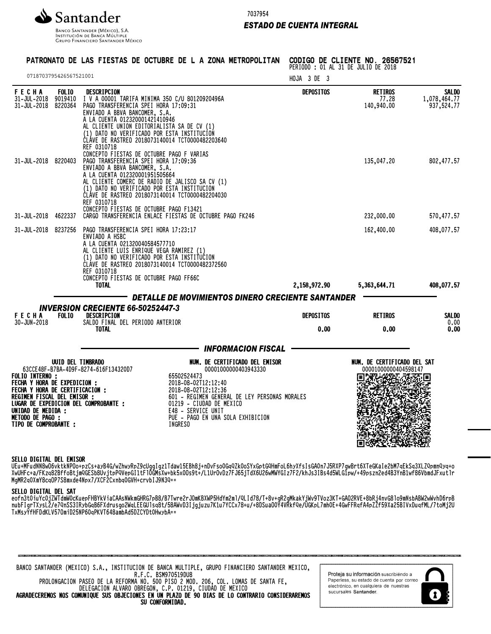

INSTITUCIÓN DE BANCA MÚLTIPLE **GRUPO FINANCIERO SANTANDER MÉXICO** 

# *ESTADO DE CUENTA INTEGRAL*

#### PATRONATO DE LAS FIESTAS DE OCTUBRE DE L A ZONA METROPOLITAN CODIGO DE CLIENTE NO. 26567521

PERIODO : 01 AL 31 DE JULIO DE 2018

|                                            |                                                     | HOJA 3 DE 3      |                                                                                                                                                                                                                                                                        | 0718703795426567521001                                                                                                                                                                                          |                                    |                                                                                                                                                                |
|--------------------------------------------|-----------------------------------------------------|------------------|------------------------------------------------------------------------------------------------------------------------------------------------------------------------------------------------------------------------------------------------------------------------|-----------------------------------------------------------------------------------------------------------------------------------------------------------------------------------------------------------------|------------------------------------|----------------------------------------------------------------------------------------------------------------------------------------------------------------|
| <b>SALDO</b><br>1,078,464.77<br>937,524.77 | <b>RETIROS</b><br>77.28<br>140,940.00               | <b>DEPOSITOS</b> | I V A 00001 TARIFA MINIMA 350 C/U 80120920496A<br>AL CLIENTE UNION EDITORIALISTA SA DE CV (1)<br>(1) DATO NO VERIFICADO POR ESTA INSTITUCION<br>CLAVE DE RASTREO 2018073140014 TCT0000482203640                                                                        | DESCRIPCION<br>PAGO TRANSFERENCIA SPEI HORA 17:09:31<br>ENVIADO A BBVA BANCOMER, S.A.<br>A LA CUENTA 012320001421410946<br>REF 0310718                                                                          | <b>FOLIO</b><br>9019410<br>8220364 | FECHA<br>31-JUL-2018<br>31-JUL-2018                                                                                                                            |
| 802,477.57                                 | 135,047.20                                          |                  | AL CLIENTE COMERC DE RADIO DE JALISCO SA CV (1)<br>(1) DATO NO VERIFICADO POR ESTA INSTITUCION<br>CLAVE DE RASTREO 2018073140014 TCT0000482204030                                                                                                                      | CONCEPTO FIESTAS DE OCTUBRE PAGO F VARIAS<br>PAGO TRANSFERENCIA SPEI HORA 17:09:36<br>ENVIADO A BBVA BANCOMER, S.A.<br>A LA CUENTA 012320001951505664<br>REF 0310718<br>CONCEPTO FIESTAS DE OCTUBRE PAGO F13421 |                                    | 31-JUL-2018 8220403                                                                                                                                            |
| 570,477.57                                 | 232,000.00                                          |                  | CARGO TRANSFERENCIA ENLACE FIESTAS DE OCTUBRE PAGO FK246                                                                                                                                                                                                               |                                                                                                                                                                                                                 | 4622337                            | 31-JUL-2018                                                                                                                                                    |
| 408,077.57                                 | 162,400.00                                          |                  | (1) DATO NO VERIFICADO POR ESTA INSTITUCION<br>CLAVE DE RASTREO 2018073140014 TCT0000482372560                                                                                                                                                                         | PAGO TRANSFERENCIA SPEI HORA 17:23:17<br>ENVIADO A HSBC<br>A LA CUENTA 021320040584577710<br>AL CLIENTE LUIS ENRIQUE VEGA RAMIREZ (1)<br>REF 0310718<br>CONCEPTO FIESTAS DE OCTUBRE PAGO FF66C                  |                                    | 31-JUL-2018 8237256                                                                                                                                            |
| 408,077.57                                 | 5,363,644.71                                        | 2,158,972.90     |                                                                                                                                                                                                                                                                        | <b>TOTAL</b>                                                                                                                                                                                                    |                                    |                                                                                                                                                                |
|                                            |                                                     |                  | DETALLE DE MOVIMIENTOS DINERO CRECIENTE SANTANDER                                                                                                                                                                                                                      |                                                                                                                                                                                                                 |                                    |                                                                                                                                                                |
| <b>SALDO</b>                               | <b>RETIROS</b>                                      | <b>DEPOSITOS</b> |                                                                                                                                                                                                                                                                        | <b>INVERSION CRECIENTE 66-50252447-3</b><br><b>DESCRIPCION</b>                                                                                                                                                  | FOL <sub>I0</sub>                  | <b>FECHA</b>                                                                                                                                                   |
| 0.00<br>0.00                               | 0.00                                                | 0.00             |                                                                                                                                                                                                                                                                        | SALDO FINAL DEL PERIODO ANTERIOR<br><b>TOTAL</b>                                                                                                                                                                |                                    | 30-JUN-2018                                                                                                                                                    |
|                                            |                                                     |                  | <b>INFORMACION FISCAL</b>                                                                                                                                                                                                                                              |                                                                                                                                                                                                                 |                                    |                                                                                                                                                                |
|                                            | NUM. DE CERTIFICADO DEL SAT<br>00001000000404598147 |                  | NUM. DE CERTIFICADO DEL EMISOR<br>00001000000403943330<br>65502524473<br>2018-08-02T12:12:40<br>2018-08-02T12:12:36<br>601 - REGIMEN GENERAL DE LEY PERSONAS MORALES<br>01219 - CIUDAD DE MEXICO<br>E48 - SERVICE UNIT<br>PUE - PAGO EN UNA SOLA EXHIBICION<br>INGRESO | UUID DEL TIMBRADO<br>63CCE48F-B7BA-4D9F-8274-616F134320D7<br>FECHA Y HORA DE CERTIFICACIÓN :<br>LUGAR DE EXPEDICION DEL COMPROBANTE :                                                                           |                                    | <b>FOLIO INTERNO:</b><br>FECHA Y HORA DE EXPEDICION :<br>REGIMEN FISCAL DEL EMISOR :<br>UNIDAD DE MEDIDA :<br><b>METODO DE PAGO :</b><br>TIPO DE COMPROBANTE : |

## SELLO DIGITAL DEL EMISOR

UEu+MFudNN8wO6vktkNPOo+pzCs+ayB4G/wZhwyRpZ9cUggIgz1Tdaw15EBh8j+nDvFso0GqQZk0oSYxGptGQHmFoL6hyXfsIsGA0n7J5RXP7gwBrt6XTeGKaIe2bM7qEkSq3XLZQpmnQyq+o XwUHFc+a/FKzq82BffoBtjmQGESb8UvjtpPQVepGI1tFl0GMsXw+bk5x0Os9t+/L1UrOvDz7FJ65jTdX6U26wMWYGIz7F2/khJs3IBs4d5WLG1pw/+49pszn2ed4B3YnB1wf86VbmdJFxutlr MgMR2q0XmY8cqOP7S8mxde4Npx7/XCF2Cxnbq0GVH+crvbIJ9N3Q==

#### SELLO DIGITAL DEL SAT

eofn3t0iuYc0jZWTdmW0cKuepFHBYkViaCAAsNWkmGHRG7pB8/B7Twre2rJOmKBXWP5HdYm2ml/QLId78/T+8v+gR2gMkakYjWv9TVoz3KT+GAO2RVE+8bRj4nvG8lo9mNsbABW2wWvhD6rpB NUDFIGFTAYSLZ/e/YNSS3IRYDGQB0FAQrUSGOZWQLEEGUISQ8t/98AWVD3Ijgjuzu/K1u/YCCX/8+u/+8DSuaUVY4VRKTYC/UGKPL/MNVE+4GWFFRQTA4PZZF99XaZ9BIVXDUQTML//COMjZU TxMsyYfHFDdKLV57OmiD25NP60qPKVT648ambAd5DZCYDt0HwybA==



Proteja su información suscribiéndo a Paperless, su estado de cuenta por correo electrónico, en cualquiera de nuestras sucursales Santander.